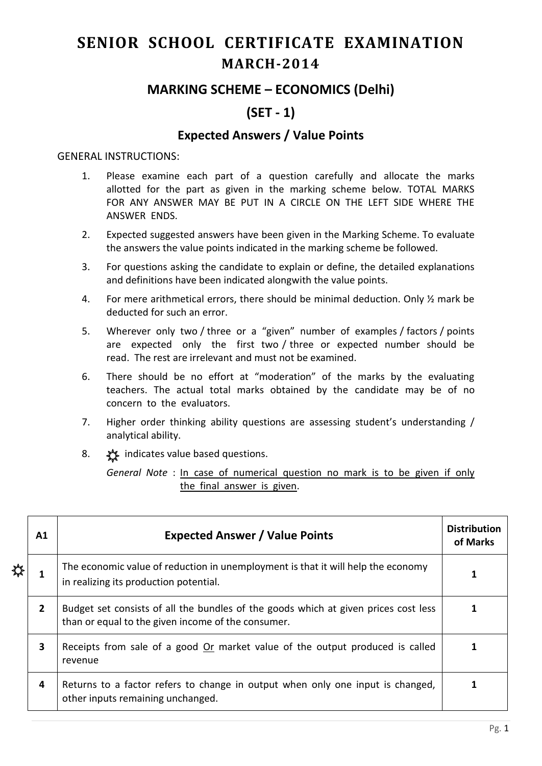# **SENIOR SCHOOL CERTIFICATE EXAMINATION MARCH-2014**

## **MARKING SCHEME – ECONOMICS (Delhi)**

# **(SET - 1)**

### **Expected Answers / Value Points**

#### GENERAL INSTRUCTIONS:

- 1. Please examine each part of a question carefully and allocate the marks allotted for the part as given in the marking scheme below. TOTAL MARKS FOR ANY ANSWER MAY BE PUT IN A CIRCLE ON THE LEFT SIDE WHERE THE ANSWER ENDS.
- 2. Expected suggested answers have been given in the Marking Scheme. To evaluate the answers the value points indicated in the marking scheme be followed.
- 3. For questions asking the candidate to explain or define, the detailed explanations and definitions have been indicated alongwith the value points.
- 4. For mere arithmetical errors, there should be minimal deduction. Only ½ mark be deducted for such an error.
- 5. Wherever only two / three or a "given" number of examples / factors / points are expected only the first two / three or expected number should be read. The rest are irrelevant and must not be examined.
- 6. There should be no effort at "moderation" of the marks by the evaluating teachers. The actual total marks obtained by the candidate may be of no concern to the evaluators.
- 7. Higher order thinking ability questions are assessing student's understanding / analytical ability.
- 8.  $\frac{1}{2}$  indicates value based questions.

*General Note* : In case of numerical question no mark is to be given if only the final answer is given.

| Α1 |   | <b>Expected Answer / Value Points</b>                                                                                                     | <b>Distribution</b><br>of Marks |
|----|---|-------------------------------------------------------------------------------------------------------------------------------------------|---------------------------------|
| ☆  |   | The economic value of reduction in unemployment is that it will help the economy<br>in realizing its production potential.                |                                 |
|    | 2 | Budget set consists of all the bundles of the goods which at given prices cost less<br>than or equal to the given income of the consumer. |                                 |
|    | 3 | Receipts from sale of a good Or market value of the output produced is called<br>revenue                                                  |                                 |
|    | 4 | Returns to a factor refers to change in output when only one input is changed,<br>other inputs remaining unchanged.                       |                                 |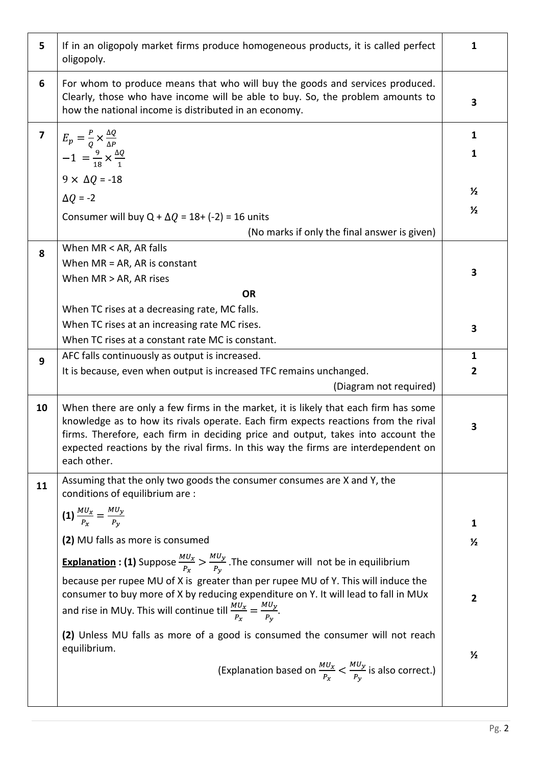| 5                       | If in an oligopoly market firms produce homogeneous products, it is called perfect<br>oligopoly.                                                                                                                                                                                                                                                                   | $\mathbf{1}$      |
|-------------------------|--------------------------------------------------------------------------------------------------------------------------------------------------------------------------------------------------------------------------------------------------------------------------------------------------------------------------------------------------------------------|-------------------|
| 6                       | For whom to produce means that who will buy the goods and services produced.<br>Clearly, those who have income will be able to buy. So, the problem amounts to<br>how the national income is distributed in an economy.                                                                                                                                            | 3                 |
| $\overline{\mathbf{z}}$ | $E_p = \frac{P}{Q} \times \frac{\Delta Q}{\Delta P}$<br>$-1 = \frac{9}{18} \times \frac{\Delta Q}{1}$<br>$9 \times \Delta Q = -18$                                                                                                                                                                                                                                 | 1<br>$\mathbf{1}$ |
|                         | $\Delta Q = -2$                                                                                                                                                                                                                                                                                                                                                    | $\frac{1}{2}$     |
|                         | Consumer will buy Q + $\Delta Q$ = 18+ (-2) = 16 units                                                                                                                                                                                                                                                                                                             | $\frac{1}{2}$     |
|                         | (No marks if only the final answer is given)<br>When MR < AR, AR falls                                                                                                                                                                                                                                                                                             |                   |
| 8                       | When $MR = AR$ , AR is constant<br>When MR > AR, AR rises                                                                                                                                                                                                                                                                                                          | 3                 |
|                         | <b>OR</b>                                                                                                                                                                                                                                                                                                                                                          |                   |
|                         | When TC rises at a decreasing rate, MC falls.                                                                                                                                                                                                                                                                                                                      |                   |
|                         | When TC rises at an increasing rate MC rises.<br>When TC rises at a constant rate MC is constant.                                                                                                                                                                                                                                                                  | 3                 |
| 9                       | AFC falls continuously as output is increased.                                                                                                                                                                                                                                                                                                                     | $\mathbf{1}$      |
|                         | It is because, even when output is increased TFC remains unchanged.                                                                                                                                                                                                                                                                                                | $\overline{2}$    |
|                         | (Diagram not required)                                                                                                                                                                                                                                                                                                                                             |                   |
| 10                      | When there are only a few firms in the market, it is likely that each firm has some<br>knowledge as to how its rivals operate. Each firm expects reactions from the rival<br>firms. Therefore, each firm in deciding price and output, takes into account the<br>expected reactions by the rival firms. In this way the firms are interdependent on<br>each other. | 3                 |
| 11                      | Assuming that the only two goods the consumer consumes are X and Y, the<br>conditions of equilibrium are :                                                                                                                                                                                                                                                         |                   |
|                         | (1) $\frac{MU_x}{P_x} = \frac{MU_y}{P_y}$                                                                                                                                                                                                                                                                                                                          | 1                 |
|                         | (2) MU falls as more is consumed                                                                                                                                                                                                                                                                                                                                   | $\frac{1}{2}$     |
|                         | <b>Explanation : (1)</b> Suppose $\frac{M U_x}{P_x} > \frac{M U_y}{P_y}$ . The consumer will not be in equilibrium                                                                                                                                                                                                                                                 |                   |
|                         | because per rupee MU of X is greater than per rupee MU of Y. This will induce the                                                                                                                                                                                                                                                                                  |                   |
|                         | consumer to buy more of X by reducing expenditure on Y. It will lead to fall in MUx<br>and rise in MUy. This will continue till $\frac{MU_x}{P_x} = \frac{MU_y}{P_y}$ .                                                                                                                                                                                            | $\overline{2}$    |
|                         | (2) Unless MU falls as more of a good is consumed the consumer will not reach                                                                                                                                                                                                                                                                                      |                   |
|                         | equilibrium.<br>(Explanation based on $\frac{MU_x}{P_x} < \frac{MU_y}{P_y}$ is also correct.)                                                                                                                                                                                                                                                                      | $\frac{1}{2}$     |
|                         |                                                                                                                                                                                                                                                                                                                                                                    |                   |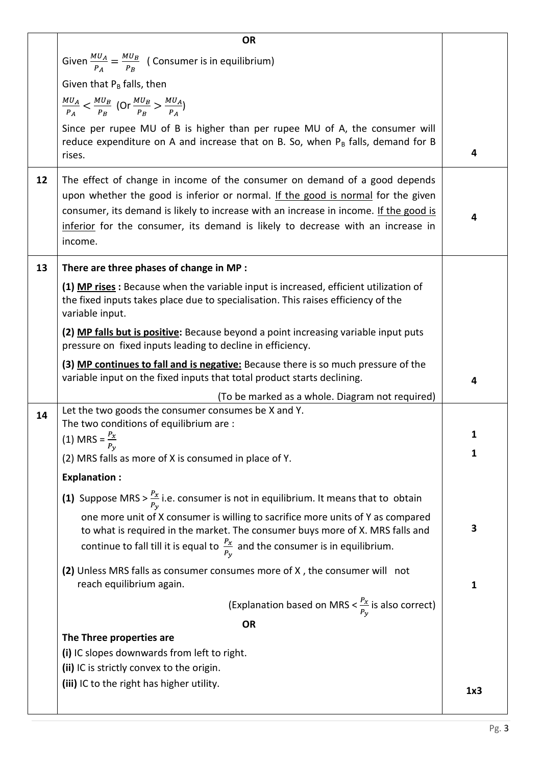|    | <b>OR</b>                                                                                                                                                                                                                                                                                                                                             |     |  |  |  |  |
|----|-------------------------------------------------------------------------------------------------------------------------------------------------------------------------------------------------------------------------------------------------------------------------------------------------------------------------------------------------------|-----|--|--|--|--|
|    | Given $\frac{MU_A}{P_A} = \frac{MU_B}{P_B}$ (Consumer is in equilibrium)                                                                                                                                                                                                                                                                              |     |  |  |  |  |
|    | Given that $P_B$ falls, then                                                                                                                                                                                                                                                                                                                          |     |  |  |  |  |
|    | $\frac{MU_A}{P_A} < \frac{MU_B}{P_B}$ (Or $\frac{MU_B}{P_B} > \frac{MU_A}{P_A}$ )                                                                                                                                                                                                                                                                     |     |  |  |  |  |
|    | Since per rupee MU of B is higher than per rupee MU of A, the consumer will<br>reduce expenditure on A and increase that on B. So, when $P_B$ falls, demand for B<br>rises.                                                                                                                                                                           | 4   |  |  |  |  |
| 12 | The effect of change in income of the consumer on demand of a good depends<br>upon whether the good is inferior or normal. If the good is normal for the given<br>consumer, its demand is likely to increase with an increase in income. If the good is<br>inferior for the consumer, its demand is likely to decrease with an increase in<br>income. | 4   |  |  |  |  |
| 13 | There are three phases of change in MP :                                                                                                                                                                                                                                                                                                              |     |  |  |  |  |
|    | (1) MP rises: Because when the variable input is increased, efficient utilization of<br>the fixed inputs takes place due to specialisation. This raises efficiency of the<br>variable input.                                                                                                                                                          |     |  |  |  |  |
|    | (2) MP falls but is positive: Because beyond a point increasing variable input puts<br>pressure on fixed inputs leading to decline in efficiency.                                                                                                                                                                                                     |     |  |  |  |  |
|    | (3) MP continues to fall and is negative: Because there is so much pressure of the<br>variable input on the fixed inputs that total product starts declining.                                                                                                                                                                                         | 4   |  |  |  |  |
|    | (To be marked as a whole. Diagram not required)                                                                                                                                                                                                                                                                                                       |     |  |  |  |  |
| 14 | Let the two goods the consumer consumes be X and Y.<br>The two conditions of equilibrium are :                                                                                                                                                                                                                                                        |     |  |  |  |  |
|    | (1) MRS = $\frac{P_x}{P_x}$                                                                                                                                                                                                                                                                                                                           | 1   |  |  |  |  |
|    | $P_{\nu}$<br>(2) MRS falls as more of X is consumed in place of Y.                                                                                                                                                                                                                                                                                    | 1   |  |  |  |  |
|    | <b>Explanation:</b>                                                                                                                                                                                                                                                                                                                                   |     |  |  |  |  |
|    |                                                                                                                                                                                                                                                                                                                                                       |     |  |  |  |  |
|    | (1) Suppose MRS > $\frac{P_x}{P_y}$ i.e. consumer is not in equilibrium. It means that to obtain                                                                                                                                                                                                                                                      |     |  |  |  |  |
|    | one more unit of X consumer is willing to sacrifice more units of Y as compared<br>to what is required in the market. The consumer buys more of X. MRS falls and<br>continue to fall till it is equal to $\frac{P_x}{P_y}$ and the consumer is in equilibrium.                                                                                        | 3   |  |  |  |  |
|    | (2) Unless MRS falls as consumer consumes more of X, the consumer will not<br>reach equilibrium again.                                                                                                                                                                                                                                                | 1   |  |  |  |  |
|    | (Explanation based on MRS $<\frac{P_x}{P_v}$ is also correct)                                                                                                                                                                                                                                                                                         |     |  |  |  |  |
|    | <b>OR</b>                                                                                                                                                                                                                                                                                                                                             |     |  |  |  |  |
|    | The Three properties are                                                                                                                                                                                                                                                                                                                              |     |  |  |  |  |
|    | (i) IC slopes downwards from left to right.                                                                                                                                                                                                                                                                                                           |     |  |  |  |  |
|    | (ii) IC is strictly convex to the origin.                                                                                                                                                                                                                                                                                                             |     |  |  |  |  |
|    | (iii) IC to the right has higher utility.                                                                                                                                                                                                                                                                                                             | 1x3 |  |  |  |  |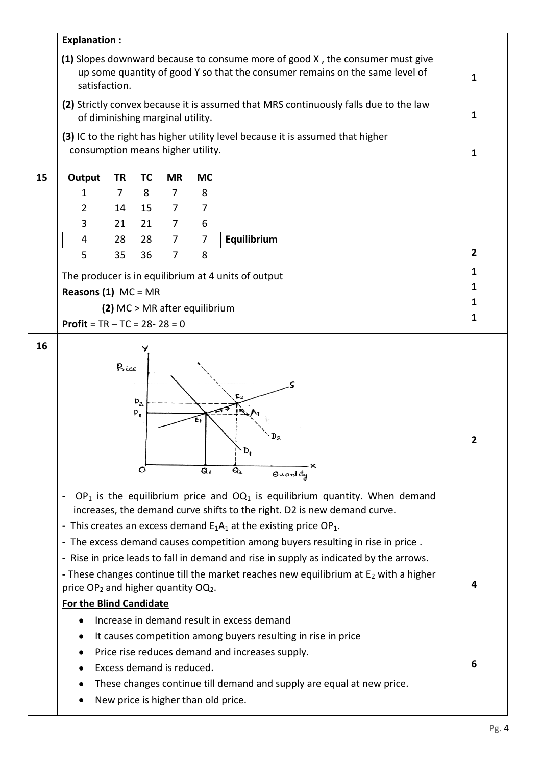|    | <b>Explanation:</b>                                                                           |                |                       |                           |           |                                                                                                                                                                                                                                                                                                                                                                                                                                                                     |                |
|----|-----------------------------------------------------------------------------------------------|----------------|-----------------------|---------------------------|-----------|---------------------------------------------------------------------------------------------------------------------------------------------------------------------------------------------------------------------------------------------------------------------------------------------------------------------------------------------------------------------------------------------------------------------------------------------------------------------|----------------|
|    | satisfaction.                                                                                 |                |                       |                           |           | (1) Slopes downward because to consume more of good X, the consumer must give<br>up some quantity of good Y so that the consumer remains on the same level of                                                                                                                                                                                                                                                                                                       | $\mathbf{1}$   |
|    | of diminishing marginal utility.                                                              |                |                       |                           |           | (2) Strictly convex because it is assumed that MRS continuously falls due to the law                                                                                                                                                                                                                                                                                                                                                                                | $\mathbf{1}$   |
|    | consumption means higher utility.                                                             |                |                       |                           |           | (3) IC to the right has higher utility level because it is assumed that higher                                                                                                                                                                                                                                                                                                                                                                                      | 1              |
| 15 | Output                                                                                        | <b>TR</b>      | <b>TC</b>             | <b>MR</b>                 | <b>MC</b> |                                                                                                                                                                                                                                                                                                                                                                                                                                                                     |                |
|    | 1                                                                                             | $\overline{7}$ | 8                     | $\overline{7}$            | 8         |                                                                                                                                                                                                                                                                                                                                                                                                                                                                     |                |
|    | $\overline{2}$                                                                                | 14             | 15                    | $\overline{7}$            | 7         |                                                                                                                                                                                                                                                                                                                                                                                                                                                                     |                |
|    | 3                                                                                             | 21             | 21                    | 7                         | 6         |                                                                                                                                                                                                                                                                                                                                                                                                                                                                     |                |
|    | 4                                                                                             | 28             | 28                    | 7                         | 7         | Equilibrium                                                                                                                                                                                                                                                                                                                                                                                                                                                         |                |
|    | 5                                                                                             | 35             | 36                    | $\overline{7}$            | 8         |                                                                                                                                                                                                                                                                                                                                                                                                                                                                     | $\overline{2}$ |
|    |                                                                                               |                |                       |                           |           |                                                                                                                                                                                                                                                                                                                                                                                                                                                                     | 1              |
|    | The producer is in equilibrium at 4 units of output<br>Reasons $(1)$ MC = MR                  |                |                       |                           |           |                                                                                                                                                                                                                                                                                                                                                                                                                                                                     | 1              |
|    | (2) MC > MR after equilibrium                                                                 |                |                       |                           |           |                                                                                                                                                                                                                                                                                                                                                                                                                                                                     | 1              |
|    | <b>Profit</b> = $TR - TC = 28 - 28 = 0$                                                       |                |                       |                           |           |                                                                                                                                                                                                                                                                                                                                                                                                                                                                     | 1              |
|    |                                                                                               | Price          | $P_2$<br>$P_{1}$<br>O |                           | $Q_1$     | $\Delta_{\mathbf{D}_\parallel}$<br>Q2.<br>Quantity<br>$OP_1$ is the equilibrium price and $OQ_1$ is equilibrium quantity. When demand<br>increases, the demand curve shifts to the right. D2 is new demand curve.<br>- This creates an excess demand $E_1A_1$ at the existing price OP <sub>1</sub> .<br>- The excess demand causes competition among buyers resulting in rise in price.                                                                            |                |
|    | price OP <sub>2</sub> and higher quantity OQ <sub>2</sub> .<br><b>For the Blind Candidate</b> |                |                       | Excess demand is reduced. |           | - Rise in price leads to fall in demand and rise in supply as indicated by the arrows.<br>- These changes continue till the market reaches new equilibrium at $E_2$ with a higher<br>Increase in demand result in excess demand<br>It causes competition among buyers resulting in rise in price<br>Price rise reduces demand and increases supply.<br>These changes continue till demand and supply are equal at new price.<br>New price is higher than old price. | 4<br>6         |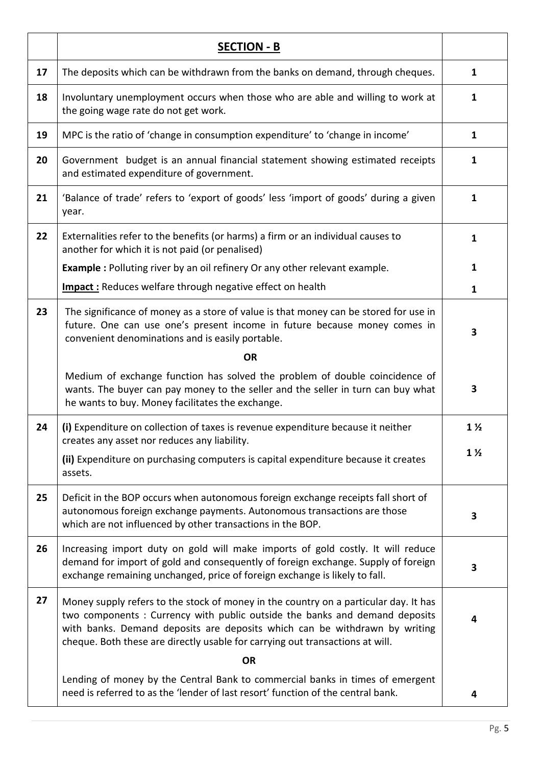|    | <b>SECTION - B</b>                                                                                                                                                                                                                                                                                                                |                |
|----|-----------------------------------------------------------------------------------------------------------------------------------------------------------------------------------------------------------------------------------------------------------------------------------------------------------------------------------|----------------|
| 17 | The deposits which can be withdrawn from the banks on demand, through cheques.                                                                                                                                                                                                                                                    | $\mathbf{1}$   |
| 18 | Involuntary unemployment occurs when those who are able and willing to work at<br>the going wage rate do not get work.                                                                                                                                                                                                            | 1              |
| 19 | MPC is the ratio of 'change in consumption expenditure' to 'change in income'                                                                                                                                                                                                                                                     | $\mathbf{1}$   |
| 20 | Government budget is an annual financial statement showing estimated receipts<br>and estimated expenditure of government.                                                                                                                                                                                                         | $\mathbf{1}$   |
| 21 | 'Balance of trade' refers to 'export of goods' less 'import of goods' during a given<br>year.                                                                                                                                                                                                                                     | $\mathbf{1}$   |
| 22 | Externalities refer to the benefits (or harms) a firm or an individual causes to<br>another for which it is not paid (or penalised)                                                                                                                                                                                               | $\mathbf{1}$   |
|    | Example : Polluting river by an oil refinery Or any other relevant example.                                                                                                                                                                                                                                                       | $\mathbf{1}$   |
|    | <b>Impact:</b> Reduces welfare through negative effect on health                                                                                                                                                                                                                                                                  | $\mathbf{1}$   |
| 23 | The significance of money as a store of value is that money can be stored for use in<br>future. One can use one's present income in future because money comes in<br>convenient denominations and is easily portable.                                                                                                             | 3              |
|    | <b>OR</b>                                                                                                                                                                                                                                                                                                                         |                |
|    | Medium of exchange function has solved the problem of double coincidence of<br>wants. The buyer can pay money to the seller and the seller in turn can buy what<br>he wants to buy. Money facilitates the exchange.                                                                                                               | 3              |
| 24 | (i) Expenditure on collection of taxes is revenue expenditure because it neither<br>creates any asset nor reduces any liability.                                                                                                                                                                                                  | $1\frac{1}{2}$ |
|    | (ii) Expenditure on purchasing computers is capital expenditure because it creates<br>assets.                                                                                                                                                                                                                                     | $1\frac{1}{2}$ |
| 25 | Deficit in the BOP occurs when autonomous foreign exchange receipts fall short of<br>autonomous foreign exchange payments. Autonomous transactions are those<br>which are not influenced by other transactions in the BOP.                                                                                                        | 3              |
| 26 | Increasing import duty on gold will make imports of gold costly. It will reduce<br>demand for import of gold and consequently of foreign exchange. Supply of foreign<br>exchange remaining unchanged, price of foreign exchange is likely to fall.                                                                                | 3              |
| 27 | Money supply refers to the stock of money in the country on a particular day. It has<br>two components: Currency with public outside the banks and demand deposits<br>with banks. Demand deposits are deposits which can be withdrawn by writing<br>cheque. Both these are directly usable for carrying out transactions at will. | 4              |
|    | <b>OR</b>                                                                                                                                                                                                                                                                                                                         |                |
|    | Lending of money by the Central Bank to commercial banks in times of emergent<br>need is referred to as the 'lender of last resort' function of the central bank.                                                                                                                                                                 | 4              |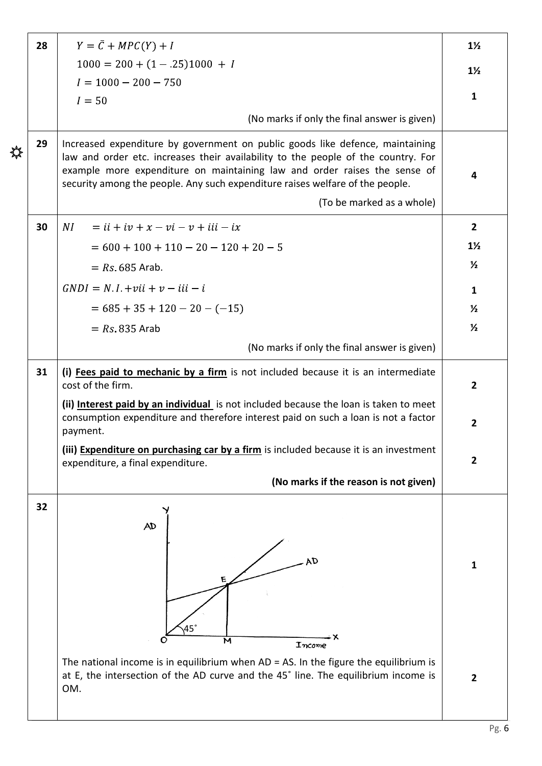|                | 28 | $Y = \overline{C} + MPC(Y) + I$                                                                                                                                                                                                                                                                                                  |                |  |  |  |  |  |  |
|----------------|----|----------------------------------------------------------------------------------------------------------------------------------------------------------------------------------------------------------------------------------------------------------------------------------------------------------------------------------|----------------|--|--|--|--|--|--|
|                |    | $1000 = 200 + (1 - .25)1000 + I$                                                                                                                                                                                                                                                                                                 |                |  |  |  |  |  |  |
|                |    | $I = 1000 - 200 - 750$                                                                                                                                                                                                                                                                                                           | $1\frac{1}{2}$ |  |  |  |  |  |  |
|                |    | $I = 50$                                                                                                                                                                                                                                                                                                                         | 1              |  |  |  |  |  |  |
|                |    | (No marks if only the final answer is given)                                                                                                                                                                                                                                                                                     |                |  |  |  |  |  |  |
| <del>ॶ</del> ॣ | 29 | Increased expenditure by government on public goods like defence, maintaining<br>law and order etc. increases their availability to the people of the country. For<br>example more expenditure on maintaining law and order raises the sense of<br>security among the people. Any such expenditure raises welfare of the people. |                |  |  |  |  |  |  |
|                |    | (To be marked as a whole)                                                                                                                                                                                                                                                                                                        |                |  |  |  |  |  |  |
|                | 30 | $= ii + iv + x - vi - v + iii - ix$<br>NI                                                                                                                                                                                                                                                                                        |                |  |  |  |  |  |  |
|                |    | $= 600 + 100 + 110 - 20 - 120 + 20 - 5$                                                                                                                                                                                                                                                                                          | $1\frac{1}{2}$ |  |  |  |  |  |  |
|                |    | $= Rs. 685$ Arab.                                                                                                                                                                                                                                                                                                                | $\frac{1}{2}$  |  |  |  |  |  |  |
|                |    | $GNDI = N I + vii + v - ii - i$                                                                                                                                                                                                                                                                                                  | $\mathbf{1}$   |  |  |  |  |  |  |
|                |    | $= 685 + 35 + 120 - 20 - (-15)$                                                                                                                                                                                                                                                                                                  | $\frac{1}{2}$  |  |  |  |  |  |  |
|                |    | $= Rs 835$ Arab                                                                                                                                                                                                                                                                                                                  | $\frac{1}{2}$  |  |  |  |  |  |  |
|                |    | (No marks if only the final answer is given)                                                                                                                                                                                                                                                                                     |                |  |  |  |  |  |  |
|                | 31 | (i) Fees paid to mechanic by a firm is not included because it is an intermediate<br>cost of the firm.                                                                                                                                                                                                                           |                |  |  |  |  |  |  |
|                |    | (ii) Interest paid by an individual is not included because the loan is taken to meet<br>consumption expenditure and therefore interest paid on such a loan is not a factor<br>payment.                                                                                                                                          | $\overline{2}$ |  |  |  |  |  |  |
|                |    | (iii) Expenditure on purchasing car by a firm is included because it is an investment<br>expenditure, a final expenditure.                                                                                                                                                                                                       | $\overline{2}$ |  |  |  |  |  |  |
|                |    | (No marks if the reason is not given)                                                                                                                                                                                                                                                                                            |                |  |  |  |  |  |  |
|                | 32 | AD<br>45'<br>M                                                                                                                                                                                                                                                                                                                   | $\mathbf{1}$   |  |  |  |  |  |  |
|                |    | Income<br>The national income is in equilibrium when $AD = AS$ . In the figure the equilibrium is<br>at E, the intersection of the AD curve and the 45° line. The equilibrium income is<br>OM.                                                                                                                                   | $\overline{2}$ |  |  |  |  |  |  |